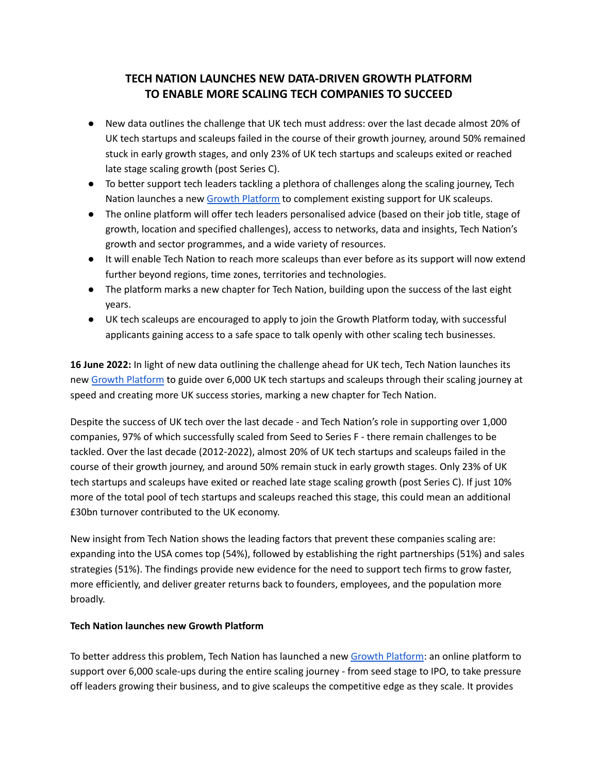# **TECH NATION LAUNCHES NEW DATA-DRIVEN GROWTH PLATFORM TO ENABLE MORE SCALING TECH COMPANIES TO SUCCEED**

- New data outlines the challenge that UK tech must address: over the last decade almost 20% of UK tech startups and scaleups failed in the course of their growth journey, around 50% remained stuck in early growth stages, and only 23% of UK tech startups and scaleups exited or reached late stage scaling growth (post Series C).
- To better support tech leaders tackling a plethora of challenges along the scaling journey, Tech Nation launches a new Growth [Platform](https://growth.technation.io/) to complement existing support for UK scaleups.
- The online platform will offer tech leaders personalised advice (based on their job title, stage of growth, location and specified challenges), access to networks, data and insights, Tech Nation's growth and sector programmes, and a wide variety of resources.
- It will enable Tech Nation to reach more scaleups than ever before as its support will now extend further beyond regions, time zones, territories and technologies.
- The platform marks a new chapter for Tech Nation, building upon the success of the last eight years.
- UK tech scaleups are encouraged to apply to join the Growth Platform today, with successful applicants gaining access to a safe space to talk openly with other scaling tech businesses.

**16 June 2022:** In light of new data outlining the challenge ahead for UK tech, Tech Nation launches its new Growth [Platform](http://growth.technation.io) to guide over 6,000 UK tech startups and scaleups through their scaling journey at speed and creating more UK success stories, marking a new chapter for Tech Nation.

Despite the success of UK tech over the last decade - and Tech Nation's role in supporting over 1,000 companies, 97% of which successfully scaled from Seed to Series F - there remain challenges to be tackled. Over the last decade (2012-2022), almost 20% of UK tech startups and scaleups failed in the course of their growth journey, and around 50% remain stuck in early growth stages. Only 23% of UK tech startups and scaleups have exited or reached late stage scaling growth (post Series C). If just 10% more of the total pool of tech startups and scaleups reached this stage, this could mean an additional £30bn turnover contributed to the UK economy.

New insight from Tech Nation shows the leading factors that prevent these companies scaling are: expanding into the USA comes top (54%), followed by establishing the right partnerships (51%) and sales strategies (51%). The findings provide new evidence for the need to support tech firms to grow faster, more efficiently, and deliver greater returns back to founders, employees, and the population more broadly.

# **Tech Nation launches new Growth Platform**

To better address this problem, Tech Nation has launched a new Growth [Platform](https://growth.technation.io/): an online platform to support over 6,000 scale-ups during the entire scaling journey - from seed stage to IPO, to take pressure off leaders growing their business, and to give scaleups the competitive edge as they scale. It provides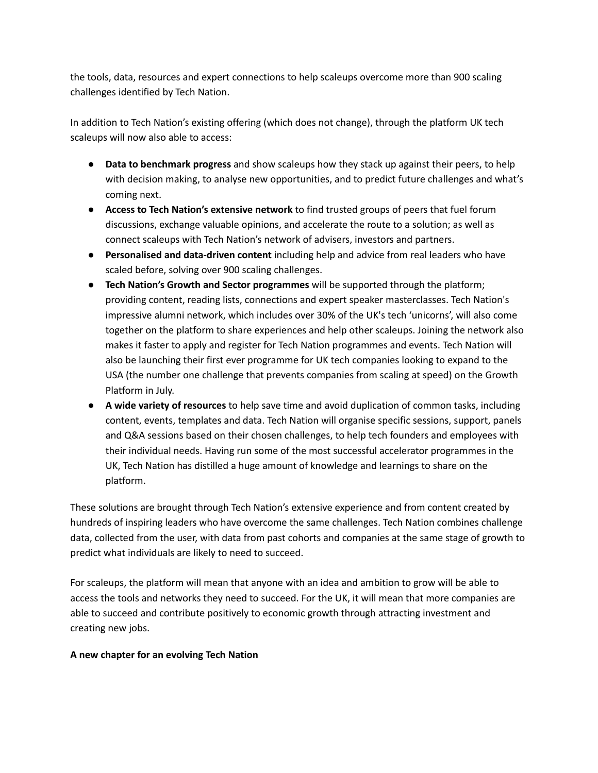the tools, data, resources and expert connections to help scaleups overcome more than 900 scaling challenges identified by Tech Nation.

In addition to Tech Nation's existing offering (which does not change), through the platform UK tech scaleups will now also able to access:

- **Data to benchmark progress** and show scaleups how they stack up against their peers, to help with decision making, to analyse new opportunities, and to predict future challenges and what's coming next.
- **Access to Tech Nation's extensive network** to find trusted groups of peers that fuel forum discussions, exchange valuable opinions, and accelerate the route to a solution; as well as connect scaleups with Tech Nation's network of advisers, investors and partners.
- **Personalised and data-driven content** including help and advice from real leaders who have scaled before, solving over 900 scaling challenges.
- **Tech Nation's Growth and Sector programmes** will be supported through the platform; providing content, reading lists, connections and expert speaker masterclasses. Tech Nation's impressive alumni network, which includes over 30% of the UK's tech 'unicorns', will also come together on the platform to share experiences and help other scaleups. Joining the network also makes it faster to apply and register for Tech Nation programmes and events. Tech Nation will also be launching their first ever programme for UK tech companies looking to expand to the USA (the number one challenge that prevents companies from scaling at speed) on the Growth Platform in July.
- **A wide variety of resources** to help save time and avoid duplication of common tasks, including content, events, templates and data. Tech Nation will organise specific sessions, support, panels and Q&A sessions based on their chosen challenges, to help tech founders and employees with their individual needs. Having run some of the most successful accelerator programmes in the UK, Tech Nation has distilled a huge amount of knowledge and learnings to share on the platform.

These solutions are brought through Tech Nation's extensive experience and from content created by hundreds of inspiring leaders who have overcome the same challenges. Tech Nation combines challenge data, collected from the user, with data from past cohorts and companies at the same stage of growth to predict what individuals are likely to need to succeed.

For scaleups, the platform will mean that anyone with an idea and ambition to grow will be able to access the tools and networks they need to succeed. For the UK, it will mean that more companies are able to succeed and contribute positively to economic growth through attracting investment and creating new jobs.

# **A new chapter for an evolving Tech Nation**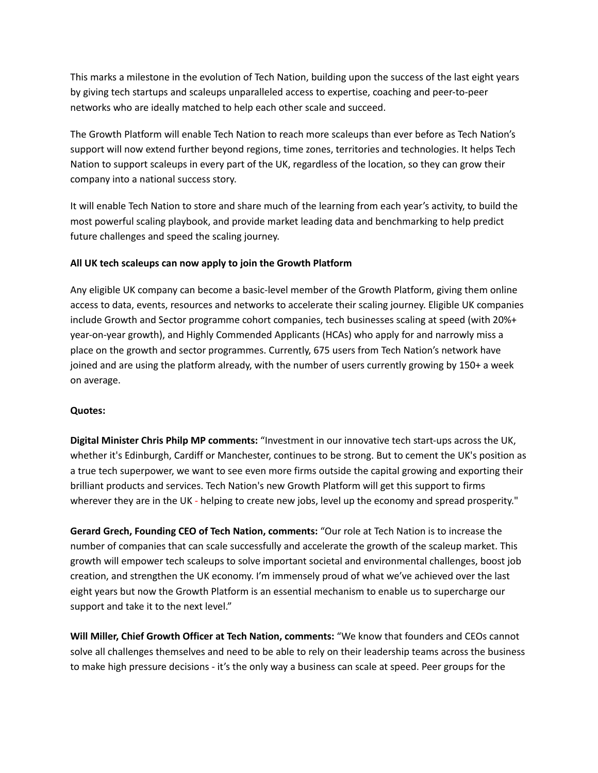This marks a milestone in the evolution of Tech Nation, building upon the success of the last eight years by giving tech startups and scaleups unparalleled access to expertise, coaching and peer-to-peer networks who are ideally matched to help each other scale and succeed.

The Growth Platform will enable Tech Nation to reach more scaleups than ever before as Tech Nation's support will now extend further beyond regions, time zones, territories and technologies. It helps Tech Nation to support scaleups in every part of the UK, regardless of the location, so they can grow their company into a national success story.

It will enable Tech Nation to store and share much of the learning from each year's activity, to build the most powerful scaling playbook, and provide market leading data and benchmarking to help predict future challenges and speed the scaling journey.

### **All UK tech scaleups can now apply to join the Growth Platform**

Any eligible UK company can become a basic-level member of the Growth Platform, giving them online access to data, events, resources and networks to accelerate their scaling journey. Eligible UK companies include Growth and Sector programme cohort companies, tech businesses scaling at speed (with 20%+ year-on-year growth), and Highly Commended Applicants (HCAs) who apply for and narrowly miss a place on the growth and sector programmes. Currently, 675 users from Tech Nation's network have joined and are using the platform already, with the number of users currently growing by 150+ a week on average.

### **Quotes:**

**Digital Minister Chris Philp MP comments:** "Investment in our innovative tech start-ups across the UK, whether it's Edinburgh, Cardiff or Manchester, continues to be strong. But to cement the UK's position as a true tech superpower, we want to see even more firms outside the capital growing and exporting their brilliant products and services. Tech Nation's new Growth Platform will get this support to firms wherever they are in the UK - helping to create new jobs, level up the economy and spread prosperity."

**Gerard Grech, Founding CEO of Tech Nation, comments:** "Our role at Tech Nation is to increase the number of companies that can scale successfully and accelerate the growth of the scaleup market. This growth will empower tech scaleups to solve important societal and environmental challenges, boost job creation, and strengthen the UK economy. I'm immensely proud of what we've achieved over the last eight years but now the Growth Platform is an essential mechanism to enable us to supercharge our support and take it to the next level."

**Will Miller, Chief Growth Officer at Tech Nation, comments:** "We know that founders and CEOs cannot solve all challenges themselves and need to be able to rely on their leadership teams across the business to make high pressure decisions - it's the only way a business can scale at speed. Peer groups for the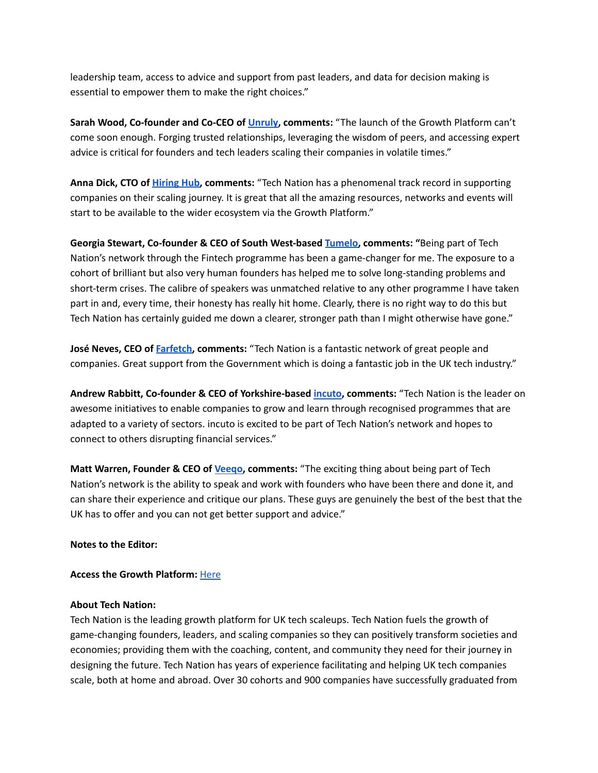leadership team, access to advice and support from past leaders, and data for decision making is essential to empower them to make the right choices."

**Sarah Wood, Co-founder and Co-CEO of [Unruly,](https://unruly.co/) comments:** "The launch of the Growth Platform can't come soon enough. Forging trusted relationships, leveraging the wisdom of peers, and accessing expert advice is critical for founders and tech leaders scaling their companies in volatile times."

**Anna Dick, CTO of [Hiring](https://www.hiring-hub.com/) Hub, comments:** "Tech Nation has a phenomenal track record in supporting companies on their scaling journey. It is great that all the amazing resources, networks and events will start to be available to the wider ecosystem via the Growth Platform."

**Georgia Stewart, Co-founder & CEO of South West-based [Tumelo,](https://www.tumelo.com/personal/) comments: "**Being part of Tech Nation's network through the Fintech programme has been a game-changer for me. The exposure to a cohort of brilliant but also very human founders has helped me to solve long-standing problems and short-term crises. The calibre of speakers was unmatched relative to any other programme I have taken part in and, every time, their honesty has really hit home. Clearly, there is no right way to do this but Tech Nation has certainly guided me down a clearer, stronger path than I might otherwise have gone."

**José Neves, CEO of [Farfetch,](https://www.farfetch.com/uk/) comments:** "Tech Nation is a fantastic network of great people and companies. Great support from the Government which is doing a fantastic job in the UK tech industry."

**Andrew Rabbitt, Co-founder & CEO of Yorkshire-based [incuto](https://www.incuto.com/), comments:** "Tech Nation is the leader on awesome initiatives to enable companies to grow and learn through recognised programmes that are adapted to a variety of sectors. incuto is excited to be part of Tech Nation's network and hopes to connect to others disrupting financial services."

**Matt Warren, Founder & CEO of [Veeqo,](https://www.googleadservices.com/pagead/aclk?sa=L&ai=DChcSEwis8baxuqD4AhUN7O0KHVFPBDcYABAAGgJkZw&ae=2&ohost=www.google.com&cid=CAESauD2MYm0zUmU3fpEHKbBk_RIUpQCUlbM4NwC-e28NbPNj8vI2iBKMAXu9eUTSpRep1kUZxBV46DxUwFA6lCBPCFEwYzYvDvZl6cAmLHU49IKbgriMDWSCI7Uha2_iRIYcOhPzXM9vItFrMs&sig=AOD64_2tQTikckYUIHBN0dCbEJD9o6zAWw&q&adurl&ved=2ahUKEwjv87CxuqD4AhXMPsAKHXjQDV4Q0Qx6BAgCEAE) comments:** "The exciting thing about being part of Tech Nation's network is the ability to speak and work with founders who have been there and done it, and can share their experience and critique our plans. These guys are genuinely the best of the best that the UK has to offer and you can not get better support and advice."

### **Notes to the Editor:**

#### **Access the Growth Platform:** [Here](https://growth.technation.io)

#### **About Tech Nation:**

Tech Nation is the leading growth platform for UK tech scaleups. Tech Nation fuels the growth of game-changing founders, leaders, and scaling companies so they can positively transform societies and economies; providing them with the coaching, content, and community they need for their journey in designing the future. Tech Nation has years of experience facilitating and helping UK tech companies scale, both at home and abroad. Over 30 cohorts and 900 companies have successfully graduated from